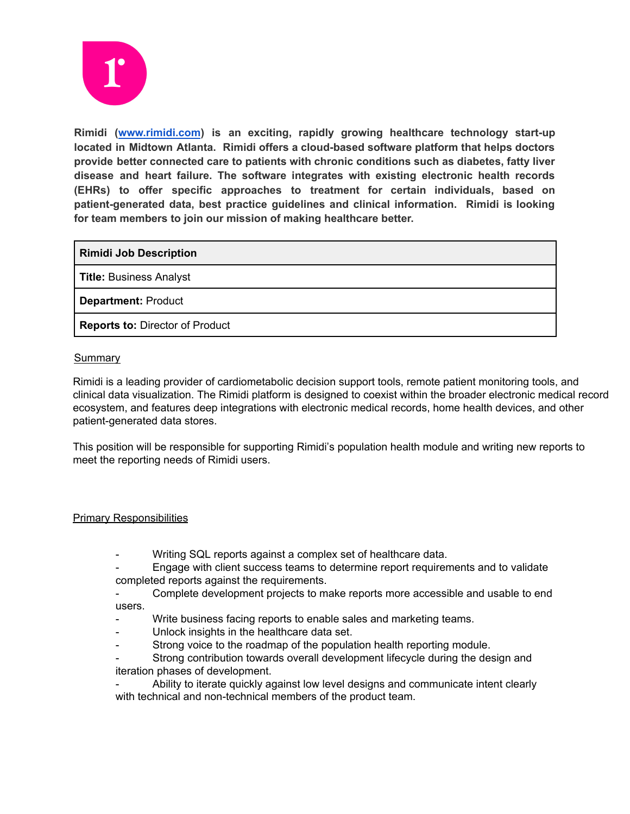

**Rimidi ([www.rimidi.com](http://www.rimidi.com)) is an exciting, rapidly growing healthcare technology start-up located in Midtown Atlanta. Rimidi offers a cloud-based software platform that helps doctors provide better connected care to patients with chronic conditions such as diabetes, fatty liver disease and heart failure. The software integrates with existing electronic health records (EHRs) to offer specific approaches to treatment for certain individuals, based on patient-generated data, best practice guidelines and clinical information. Rimidi is looking for team members to join our mission of making healthcare better.**

**Rimidi Job Description**

**Title:** Business Analyst

**Department:** Product

**Reports to:** Director of Product

## **Summary**

Rimidi is a leading provider of cardiometabolic decision support tools, remote patient monitoring tools, and clinical data visualization. The Rimidi platform is designed to coexist within the broader electronic medical record ecosystem, and features deep integrations with electronic medical records, home health devices, and other patient-generated data stores.

This position will be responsible for supporting Rimidi's population health module and writing new reports to meet the reporting needs of Rimidi users.

## Primary Responsibilities

- Writing SQL reports against a complex set of healthcare data.
- Engage with client success teams to determine report requirements and to validate completed reports against the requirements.
- Complete development projects to make reports more accessible and usable to end users.
- Write business facing reports to enable sales and marketing teams.
- Unlock insights in the healthcare data set.
- Strong voice to the roadmap of the population health reporting module.

Strong contribution towards overall development lifecycle during the design and iteration phases of development.

Ability to iterate quickly against low level designs and communicate intent clearly with technical and non-technical members of the product team.